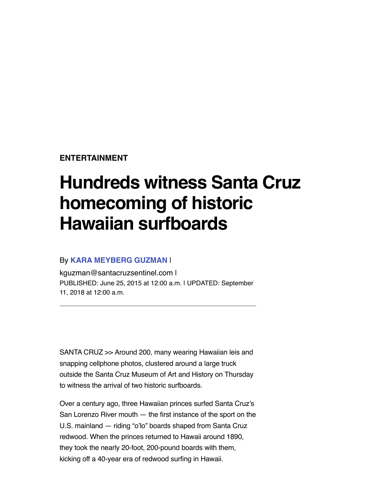**[ENTERTAINMENT](https://www.santacruzsentinel.com/entertainment/)**

## **Hundreds witness Santa Cruz homecoming of historic Hawaiian surfboards**

## By **[KARA MEYBERG GUZMAN](https://www.santacruzsentinel.com/author/kara-meyberg-guzman/)** |

[kguzman@santacruzsentinel.com](mailto:kguzman@santacruzsentinel.com) | PUBLISHED: June 25, 2015 at 12:00 a.m. | UPDATED: September 11, 2018 at 12:00 a.m.

SANTA CRUZ >> Around 200, many wearing Hawaiian leis and snapping cellphone photos, clustered around a large truck outside the Santa Cruz Museum of Art and History on Thursday to witness the arrival of two historic surfboards.

Over a century ago, three Hawaiian princes surfed Santa Cruz's San Lorenzo River mouth — the first instance of the sport on the U.S. mainland — riding "o'lo" boards shaped from Santa Cruz redwood. When the princes returned to Hawaii around 1890, they took the nearly 20-foot, 200-pound boards with them, kicking off a 40-year era of redwood surfing in Hawaii.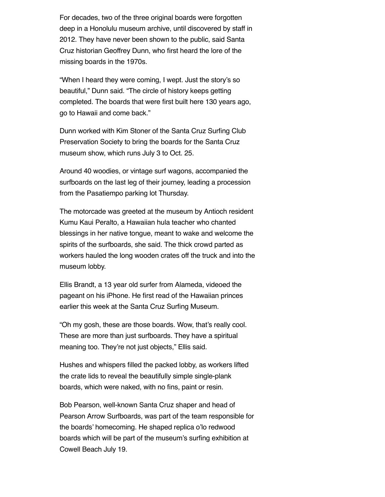For decades, two of the three original boards were forgotten deep in a Honolulu museum archive, until discovered by staff in 2012. They have never been shown to the public, said Santa Cruz historian Geoffrey Dunn, who first heard the lore of the missing boards in the 1970s.

"When I heard they were coming, I wept. Just the story's so beautiful," Dunn said. "The circle of history keeps getting completed. The boards that were first built here 130 years ago, go to Hawaii and come back."

Dunn worked with Kim Stoner of the Santa Cruz Surfing Club Preservation Society to bring the boards for the Santa Cruz museum show, which runs July 3 to Oct. 25.

Around 40 woodies, or vintage surf wagons, accompanied the surfboards on the last leg of their journey, leading a procession from the Pasatiempo parking lot Thursday.

The motorcade was greeted at the museum by Antioch resident Kumu Kaui Peralto, a Hawaiian hula teacher who chanted blessings in her native tongue, meant to wake and welcome the spirits of the surfboards, she said. The thick crowd parted as workers hauled the long wooden crates off the truck and into the museum lobby.

Ellis Brandt, a 13 year old surfer from Alameda, videoed the pageant on his iPhone. He first read of the Hawaiian princes earlier this week at the Santa Cruz Surfing Museum.

"Oh my gosh, these are those boards. Wow, that's really cool. These are more than just surfboards. They have a spiritual meaning too. They're not just objects," Ellis said.

Hushes and whispers filled the packed lobby, as workers lifted the crate lids to reveal the beautifully simple single-plank boards, which were naked, with no fins, paint or resin.

Bob Pearson, well-known Santa Cruz shaper and head of Pearson Arrow Surfboards, was part of the team responsible for the boards' homecoming. He shaped replica o'lo redwood boards which will be part of the museum's surfing exhibition at Cowell Beach July 19.